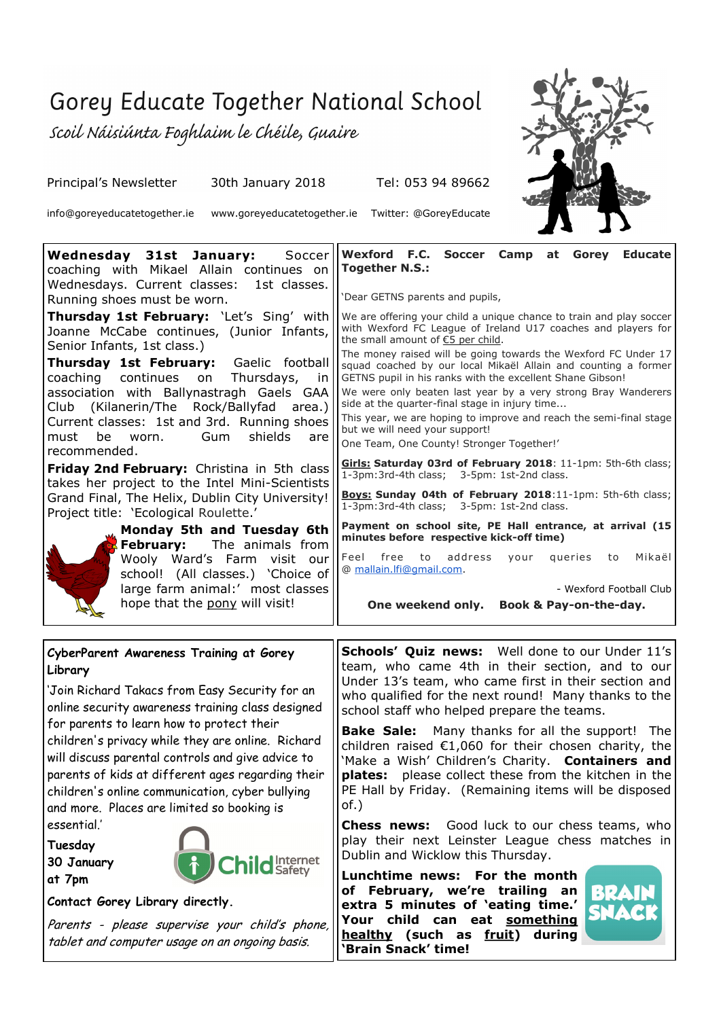## Gorey Educate Together National School

Scoil Náisiúnta Foghlaim le Chéile, Guaire

Principal's Newsletter 30th January 2018 Tel: 053 94 89662

info@goreyeducatetogether.ie www.goreyeducatetogether.ie Twitter: @GoreyEducate



| Wednesday 31st January:<br>Soccer<br>coaching with Mikael Allain continues on<br>Wednesdays. Current classes:<br>1st classes.<br>Running shoes must be worn.                                                                                                                                                                                                       | Wexford F.C.<br><b>Soccer</b><br>Camp<br><b>Educate</b><br>at<br>Gorey<br><b>Together N.S.:</b><br>'Dear GETNS parents and pupils,                                                                                                    |
|--------------------------------------------------------------------------------------------------------------------------------------------------------------------------------------------------------------------------------------------------------------------------------------------------------------------------------------------------------------------|---------------------------------------------------------------------------------------------------------------------------------------------------------------------------------------------------------------------------------------|
| Thursday 1st February: 'Let's Sing' with<br>Joanne McCabe continues, (Junior Infants,<br>Senior Infants, 1st class.)                                                                                                                                                                                                                                               | We are offering your child a unique chance to train and play soccer<br>with Wexford FC League of Ireland U17 coaches and players for<br>the small amount of €5 per child.                                                             |
| Thursday 1st February:<br>Gaelic football<br>continues<br>coaching<br>on<br>Thursdays,<br>-in                                                                                                                                                                                                                                                                      | The money raised will be going towards the Wexford FC Under 17<br>squad coached by our local Mikaël Allain and counting a former<br>GETNS pupil in his ranks with the excellent Shane Gibson!                                         |
| association with Ballynastragh Gaels GAA<br>(Kilanerin/The Rock/Ballyfad<br>area.)<br>Club<br>Current classes: 1st and 3rd. Running shoes                                                                                                                                                                                                                          | We were only beaten last year by a very strong Bray Wanderers<br>side at the quarter-final stage in injury time<br>This year, we are hoping to improve and reach the semi-final stage                                                 |
| shields<br>Gum<br>be<br>worn.<br>must<br>are<br>recommended.                                                                                                                                                                                                                                                                                                       | but we will need your support!<br>One Team, One County! Stronger Together!'                                                                                                                                                           |
| Friday 2nd February: Christina in 5th class<br>takes her project to the Intel Mini-Scientists                                                                                                                                                                                                                                                                      | Girls: Saturday 03rd of February 2018: 11-1pm: 5th-6th class;<br>1-3pm:3rd-4th class; 3-5pm: 1st-2nd class.                                                                                                                           |
| Grand Final, The Helix, Dublin City University!<br>Project title: 'Ecological Roulette.'                                                                                                                                                                                                                                                                           | Boys: Sunday 04th of February 2018:11-1pm: 5th-6th class;<br>1-3pm:3rd-4th class; 3-5pm: 1st-2nd class.<br>Payment on school site, PE Hall entrance, at arrival (15                                                                   |
| Monday 5th and Tuesday 6th<br><b>February:</b><br>The animals from                                                                                                                                                                                                                                                                                                 | minutes before respective kick-off time)                                                                                                                                                                                              |
| Wooly Ward's Farm visit our<br>school! (All classes.) 'Choice of                                                                                                                                                                                                                                                                                                   | to<br>address<br>Feel free<br>queries<br>Mikaël<br>your<br>to<br>@ mallain.lfi@gmail.com.                                                                                                                                             |
| large farm animal:' most classes<br>hope that the pony will visit!                                                                                                                                                                                                                                                                                                 | - Wexford Football Club<br>One weekend only.<br>Book & Pay-on-the-day.                                                                                                                                                                |
|                                                                                                                                                                                                                                                                                                                                                                    |                                                                                                                                                                                                                                       |
| CyberParent Awareness Training at Gorey<br>Library                                                                                                                                                                                                                                                                                                                 | <b>Schools' Quiz news:</b> Well done to our Under 11's<br>team, who came 4th in their section, and to our                                                                                                                             |
| 'Join Richard Takacs from Easy Security for an<br>online security awareness training class designed<br>for parents to learn how to protect their<br>children's privacy while they are online. Richard<br>will discuss parental controls and give advice to<br>parents of kids at different ages regarding their<br>children's online communication, cyber bullying | Under 13's team, who came first in their section and<br>who qualified for the next round! Many thanks to the<br>school staff who helped prepare the teams.                                                                            |
|                                                                                                                                                                                                                                                                                                                                                                    | <b>Bake Sale:</b> Many thanks for all the support! The                                                                                                                                                                                |
|                                                                                                                                                                                                                                                                                                                                                                    | children raised $\epsilon$ 1,060 for their chosen charity, the<br>'Make a Wish' Children's Charity. Containers and<br>plates:<br>please collect these from the kitchen in the<br>PE Hall by Friday. (Remaining items will be disposed |
| and more. Places are limited so booking is                                                                                                                                                                                                                                                                                                                         | of.)                                                                                                                                                                                                                                  |
| essential.'<br>Tuesday                                                                                                                                                                                                                                                                                                                                             | Good luck to our chess teams, who<br><b>Chess news:</b><br>play their next Leinster League chess matches in                                                                                                                           |
| d Internet<br>30 January                                                                                                                                                                                                                                                                                                                                           | Dublin and Wicklow this Thursday.<br>Lunchtime news: For the month                                                                                                                                                                    |
| at 7pm<br>Contact Gorey Library directly.                                                                                                                                                                                                                                                                                                                          | of February, we're trailing an<br>Bb<br>extra 5 minutes of 'eating time.'                                                                                                                                                             |

*<u>healthy</u>* (such as fruit) during

*See details overleaf.* **'Brain Snack' time!**

**Your child can eat something**

Parents - please supervise your child's phone, tablet and computer usage on an ongoing basis.